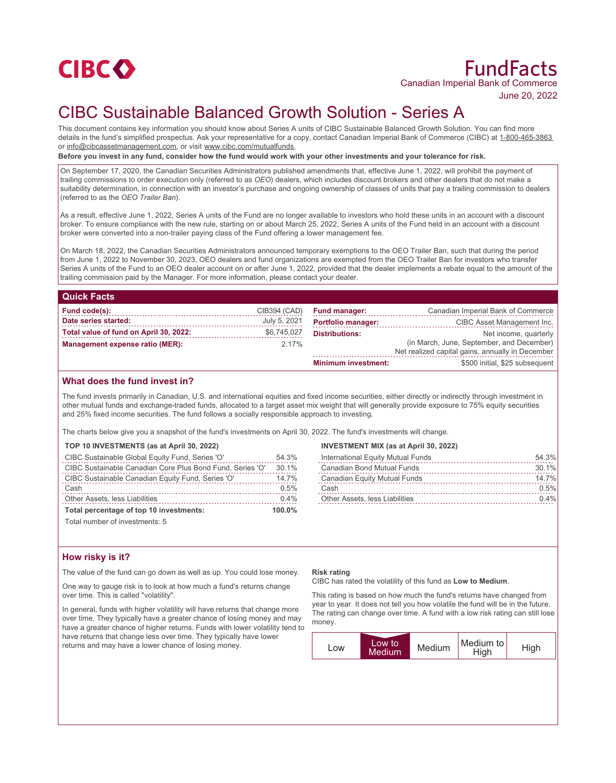

# FundFacts Canadian Imperial Bank of Commerce

June 20, 2022

# CIBC Sustainable Balanced Growth Solution - Series A

This document contains key information you should know about Series A units of CIBC Sustainable Balanced Growth Solution. You can find more details in the fund's simplified prospectus. Ask your representative for a copy, contact Canadian Imperial Bank of Commerce (CIBC) at 1-800-465-3863 or info@cibcassetmanagement.com, or visit www.cibc.com/mutualfunds.

**Before you invest in any fund, consider how the fund would work with your other investments and your tolerance for risk.**

On September 17, 2020, the Canadian Securities Administrators published amendments that, effective June 1, 2022, will prohibit the payment of trailing commissions to order execution only (referred to as *OEO*) dealers, which includes discount brokers and other dealers that do not make a suitability determination, in connection with an investor's purchase and ongoing ownership of classes of units that pay a trailing commission to dealers (referred to as the *OEO Trailer Ban*).

As a result, effective June 1, 2022, Series A units of the Fund are no longer available to investors who hold these units in an account with a discount broker. To ensure compliance with the new rule, starting on or about March 25, 2022, Series A units of the Fund held in an account with a discount broker were converted into a non-trailer paying class of the Fund offering a lower management fee.

On March 18, 2022, the Canadian Securities Administrators announced temporary exemptions to the OEO Trailer Ban, such that during the period from June 1, 2022 to November 30, 2023, OEO dealers and fund organizations are exempted from the OEO Trailer Ban for investors who transfer Series A units of the Fund to an OEO dealer account on or after June 1, 2022, provided that the dealer implements a rebate equal to the amount of the trailing commission paid by the Manager. For more information, please contact your dealer.

| <b>Quick Facts</b>                     |              |                            |                                                  |
|----------------------------------------|--------------|----------------------------|--------------------------------------------------|
| Fund code(s):                          | CIB394 (CAD) | <b>Fund manager:</b>       | Canadian Imperial Bank of Commerce               |
| Date series started:                   | July 5, 2021 | <b>Portfolio manager:</b>  | CIBC Asset Management Inc.                       |
| Total value of fund on April 30, 2022: | \$6,745,027  | <b>Distributions:</b>      | Net income, quarterly                            |
| Management expense ratio (MER):        | $2.17\%$     |                            | (in March, June, September, and December)        |
|                                        |              |                            | Net realized capital gains, annually in December |
|                                        |              | <b>Minimum investment:</b> | \$500 initial, \$25 subsequent                   |

# **What does the fund invest in?**

The fund invests primarily in Canadian, U.S. and international equities and fixed income securities, either directly or indirectly through investment in other mutual funds and exchange-traded funds, allocated to a target asset mix weight that will generally provide exposure to 75% equity securities and 25% fixed income securities. The fund follows a socially responsible approach to investing.

The charts below give you a snapshot of the fund's investments on April 30, 2022. The fund's investments will change.

### **TOP 10 INVESTMENTS (as at April 30, 2022)**

| CIBC Sustainable Global Equity Fund, Series 'O'           | 54.3% |
|-----------------------------------------------------------|-------|
| CIBC Sustainable Canadian Core Plus Bond Fund, Series 'O' | 30.1% |
| CIBC Sustainable Canadian Equity Fund, Series 'O'         | 14.7% |
| Cash                                                      | 0.5%  |
| Other Assets, less Liabilities                            | 0.4%  |
| Total percentage of top 10 investments:                   |       |

Total number of investments: 5

# **How risky is it?**

The value of the fund can go down as well as up. You could lose money.

One way to gauge risk is to look at how much a fund's returns change over time. This is called "volatility".

In general, funds with higher volatility will have returns that change more over time. They typically have a greater chance of losing money and may have a greater chance of higher returns. Funds with lower volatility tend to have returns that change less over time. They typically have lower returns and may have a lower chance of losing money.

# **INVESTMENT MIX (as at April 30, 2022)**

| International Equity Mutual Funds     | 54.3% |
|---------------------------------------|-------|
| Canadian Bond Mutual Funds            | 30.1% |
| Canadian Equity Mutual Funds          | 14.7% |
| Cash                                  | 0.5%  |
| <b>Other Assets, less Liabilities</b> | 0.4%  |

#### **Risk rating**

CIBC has rated the volatility of this fund as **Low to Medium**.

This rating is based on how much the fund's returns have changed from year to year. It does not tell you how volatile the fund will be in the future. The rating can change over time. A fund with a low risk rating can still lose money.

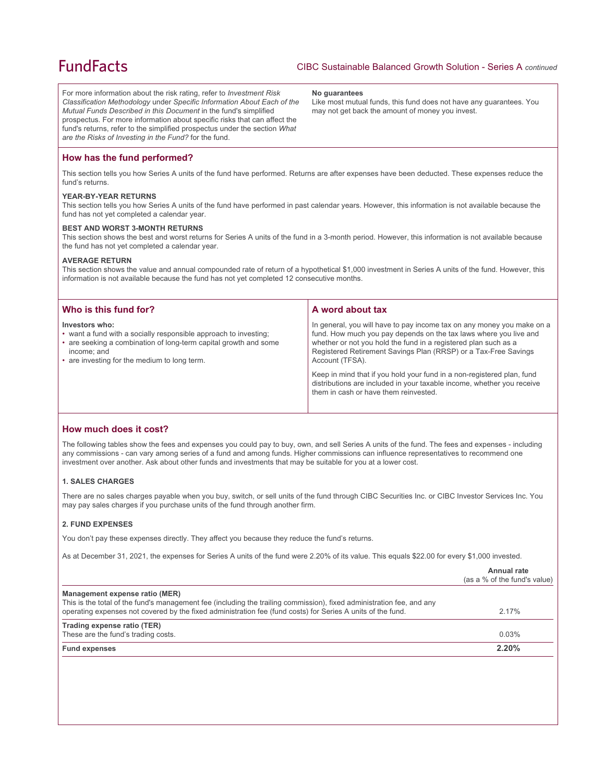# **FundFacts**

For more information about the risk rating, refer to *Investment Risk Classification Methodology* under *Specific Information About Each of the Mutual Funds Described in this Document* in the fund's simplified prospectus. For more information about specific risks that can affect the fund's returns, refer to the simplified prospectus under the section *What are the Risks of Investing in the Fund?* for the fund.

#### **No guarantees**

Like most mutual funds, this fund does not have any guarantees. You may not get back the amount of money you invest.

# **How has the fund performed?**

This section tells you how Series A units of the fund have performed. Returns are after expenses have been deducted. These expenses reduce the fund's returns.

### **YEAR-BY-YEAR RETURNS**

This section tells you how Series A units of the fund have performed in past calendar years. However, this information is not available because the fund has not yet completed a calendar year.

### **BEST AND WORST 3-MONTH RETURNS**

This section shows the best and worst returns for Series A units of the fund in a 3-month period. However, this information is not available because the fund has not yet completed a calendar year.

#### **AVERAGE RETURN**

This section shows the value and annual compounded rate of return of a hypothetical \$1,000 investment in Series A units of the fund. However, this information is not available because the fund has not yet completed 12 consecutive months.

| Who is this fund for?                                                                                                                                                                                                 | A word about tax                                                                                                                                                                                                                                                                                     |  |
|-----------------------------------------------------------------------------------------------------------------------------------------------------------------------------------------------------------------------|------------------------------------------------------------------------------------------------------------------------------------------------------------------------------------------------------------------------------------------------------------------------------------------------------|--|
| Investors who:<br>• want a fund with a socially responsible approach to investing;<br>• are seeking a combination of long-term capital growth and some<br>income; and<br>• are investing for the medium to long term. | In general, you will have to pay income tax on any money you make on a<br>fund. How much you pay depends on the tax laws where you live and<br>whether or not you hold the fund in a registered plan such as a<br>Registered Retirement Savings Plan (RRSP) or a Tax-Free Savings<br>Account (TFSA). |  |
|                                                                                                                                                                                                                       | Keep in mind that if you hold your fund in a non-registered plan, fund<br>distributions are included in your taxable income, whether you receive<br>them in cash or have them reinvested.                                                                                                            |  |

# **How much does it cost?**

The following tables show the fees and expenses you could pay to buy, own, and sell Series A units of the fund. The fees and expenses - including any commissions - can vary among series of a fund and among funds. Higher commissions can influence representatives to recommend one investment over another. Ask about other funds and investments that may be suitable for you at a lower cost.

# **1. SALES CHARGES**

There are no sales charges payable when you buy, switch, or sell units of the fund through CIBC Securities Inc. or CIBC Investor Services Inc. You may pay sales charges if you purchase units of the fund through another firm.

# **2. FUND EXPENSES**

You don't pay these expenses directly. They affect you because they reduce the fund's returns.

As at December 31, 2021, the expenses for Series A units of the fund were 2.20% of its value. This equals \$22.00 for every \$1,000 invested.

|                                                                                                                                                                                                                                                                        | Annual rate<br>(as a % of the fund's value) |
|------------------------------------------------------------------------------------------------------------------------------------------------------------------------------------------------------------------------------------------------------------------------|---------------------------------------------|
| Management expense ratio (MER)<br>This is the total of the fund's management fee (including the trailing commission), fixed administration fee, and any<br>operating expenses not covered by the fixed administration fee (fund costs) for Series A units of the fund. | 2.17%                                       |
| Trading expense ratio (TER)<br>These are the fund's trading costs.                                                                                                                                                                                                     | 0.03%                                       |
| <b>Fund expenses</b>                                                                                                                                                                                                                                                   | 2.20%                                       |